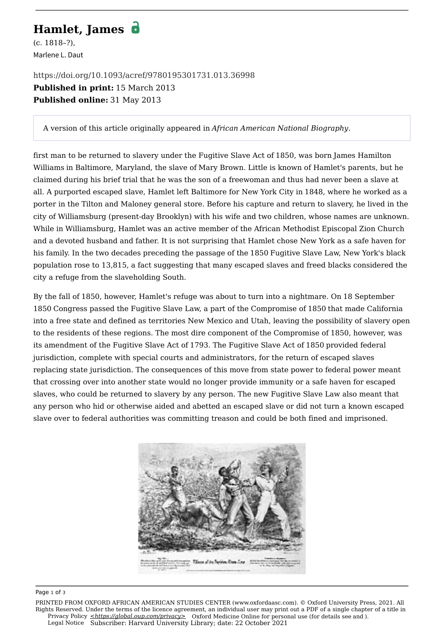## **Hamlet, James**

(c. 1818–?), Marlene L. Daut

<https://doi.org/10.1093/acref/9780195301731.013.36998> **Published in print:** 15 March 2013 **Published online:** 31 May 2013

A version of this article originally appeared in *African American National Biography*.

first man to be returned to slavery under the Fugitive Slave Act of 1850, was born James Hamilton Williams in Baltimore, Maryland, the slave of Mary Brown. Little is known of Hamlet's parents, but he claimed during his brief trial that he was the son of a freewoman and thus had never been a slave at all. A purported escaped slave, Hamlet left Baltimore for New York City in 1848, where he worked as a porter in the Tilton and Maloney general store. Before his capture and return to slavery, he lived in the city of Williamsburg (present-day Brooklyn) with his wife and two children, whose names are unknown. While in Williamsburg, Hamlet was an active member of the African Methodist Episcopal Zion Church and a devoted husband and father. It is not surprising that Hamlet chose New York as a safe haven for his family. In the two decades preceding the passage of the 1850 Fugitive Slave Law, New York's black population rose to 13,815, a fact suggesting that many escaped slaves and freed blacks considered the city a refuge from the slaveholding South.

By the fall of 1850, however, Hamlet's refuge was about to turn into a nightmare. On 18 September 1850 Congress passed the Fugitive Slave Law, a part of the Compromise of 1850 that made California into a free state and defined as territories New Mexico and Utah, leaving the possibility of slavery open to the residents of these regions. The most dire component of the Compromise of 1850, however, was its amendment of the Fugitive Slave Act of 1793. The Fugitive Slave Act of 1850 provided federal jurisdiction, complete with special courts and administrators, for the return of escaped slaves replacing state jurisdiction. The consequences of this move from state power to federal power meant that crossing over into another state would no longer provide immunity or a safe haven for escaped slaves, who could be returned to slavery by any person. The new Fugitive Slave Law also meant that any person who hid or otherwise aided and abetted an escaped slave or did not turn a known escaped slave over to federal authorities was committing treason and could be both fined and imprisoned.



Page 1 of 3

[Privacy Policy](https://global.oup.com/privacy) **[<https://global.oup.com/privacy>](https://global.oup.com/privacy)** Oxford Medicine Online for personal use (for details see and ). [Legal Notice](https://oxfordaasc.com/page/legal-notice) Subscriber: Harvard University Library; date: 22 October 2021 PRINTED FROM OXFORD AFRICAN AMERICAN STUDIES CENTER (www.oxfordaasc.com). © Oxford University Press, 2021. All Rights Reserved. Under the terms of the licence agreement, an individual user may print out a PDF of a single chapter of a title in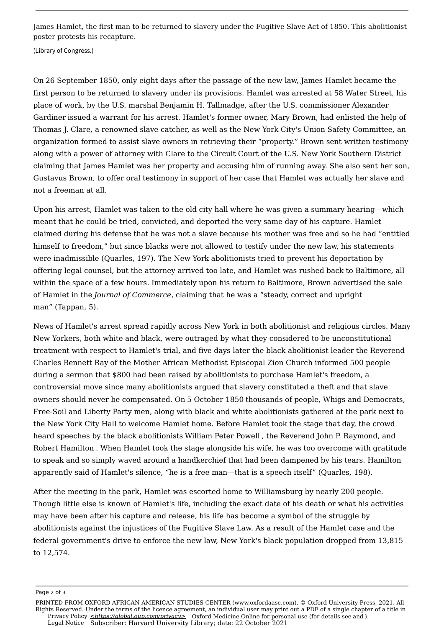James Hamlet, the first man to be returned to slavery under the Fugitive Slave Act of 1850. This abolitionist poster protests his recapture.

(Library of Congress.)

On 26 September 1850, only eight days after the passage of the new law, James Hamlet became the first person to be returned to slavery under its provisions. Hamlet was arrested at 58 Water Street, his place of work, by the U.S. marshal Benjamin H. Tallmadge, after the U.S. commissioner Alexander Gardiner issued a warrant for his arrest. Hamlet's former owner, Mary Brown, had enlisted the help of Thomas J. Clare, a renowned slave catcher, as well as the New York City's Union Safety Committee, an organization formed to assist slave owners in retrieving their "property." Brown sent written testimony along with a power of attorney with Clare to the Circuit Court of the U.S. New York Southern District claiming that James Hamlet was her property and accusing him of running away. She also sent her son, Gustavus Brown, to offer oral testimony in support of her case that Hamlet was actually her slave and not a freeman at all.

Upon his arrest, Hamlet was taken to the old city hall where he was given a summary hearing—which meant that he could be tried, convicted, and deported the very same day of his capture. Hamlet claimed during his defense that he was not a slave because his mother was free and so he had "entitled himself to freedom," but since blacks were not allowed to testify under the new law, his statements were inadmissible (Quarles, 197). The New York abolitionists tried to prevent his deportation by offering legal counsel, but the attorney arrived too late, and Hamlet was rushed back to Baltimore, all within the space of a few hours. Immediately upon his return to Baltimore, Brown advertised the sale of Hamlet in the *Journal of Commerce*, claiming that he was a "steady, correct and upright man" (Tappan, 5).

News of Hamlet's arrest spread rapidly across New York in both abolitionist and religious circles. Many New Yorkers, both white and black, were outraged by what they considered to be unconstitutional treatment with respect to Hamlet's trial, and five days later the black abolitionist leader the Reverend [Charles Bennett Ray](https://oxfordaasc.com/documentId/acref-9780195301731-e-35358) of the Mother African Methodist Episcopal Zion Church informed 500 people during a sermon that \$800 had been raised by abolitionists to purchase Hamlet's freedom, a controversial move since many abolitionists argued that slavery constituted a theft and that slave owners should never be compensated. On 5 October 1850 thousands of people, Whigs and Democrats, Free-Soil and Liberty Party men, along with black and white abolitionists gathered at the park next to the New York City Hall to welcome Hamlet home. Before Hamlet took the stage that day, the crowd heard speeches by the black abolitionists [William Peter Powell](https://oxfordaasc.com/documentId/acref-9780195301731-e-35129) , the Reverend John P. Raymond, and [Robert Hamilton](https://oxfordaasc.com/documentId/acref-9780195301731-e-36995) . When Hamlet took the stage alongside his wife, he was too overcome with gratitude to speak and so simply waved around a handkerchief that had been dampened by his tears. Hamilton apparently said of Hamlet's silence, "he is a free man—that is a speech itself" (Quarles, 198).

After the meeting in the park, Hamlet was escorted home to Williamsburg by nearly 200 people. Though little else is known of Hamlet's life, including the exact date of his death or what his activities may have been after his capture and release, his life has become a symbol of the struggle by abolitionists against the injustices of the Fugitive Slave Law. As a result of the Hamlet case and the federal government's drive to enforce the new law, New York's black population dropped from 13,815 to 12,574.

Page 2 of 3

[Privacy Policy](https://global.oup.com/privacy) **[<https://global.oup.com/privacy>](https://global.oup.com/privacy)** Oxford Medicine Online for personal use (for details see and ). [Legal Notice](https://oxfordaasc.com/page/legal-notice) Subscriber: Harvard University Library; date: 22 October 2021 PRINTED FROM OXFORD AFRICAN AMERICAN STUDIES CENTER (www.oxfordaasc.com). © Oxford University Press, 2021. All Rights Reserved. Under the terms of the licence agreement, an individual user may print out a PDF of a single chapter of a title in